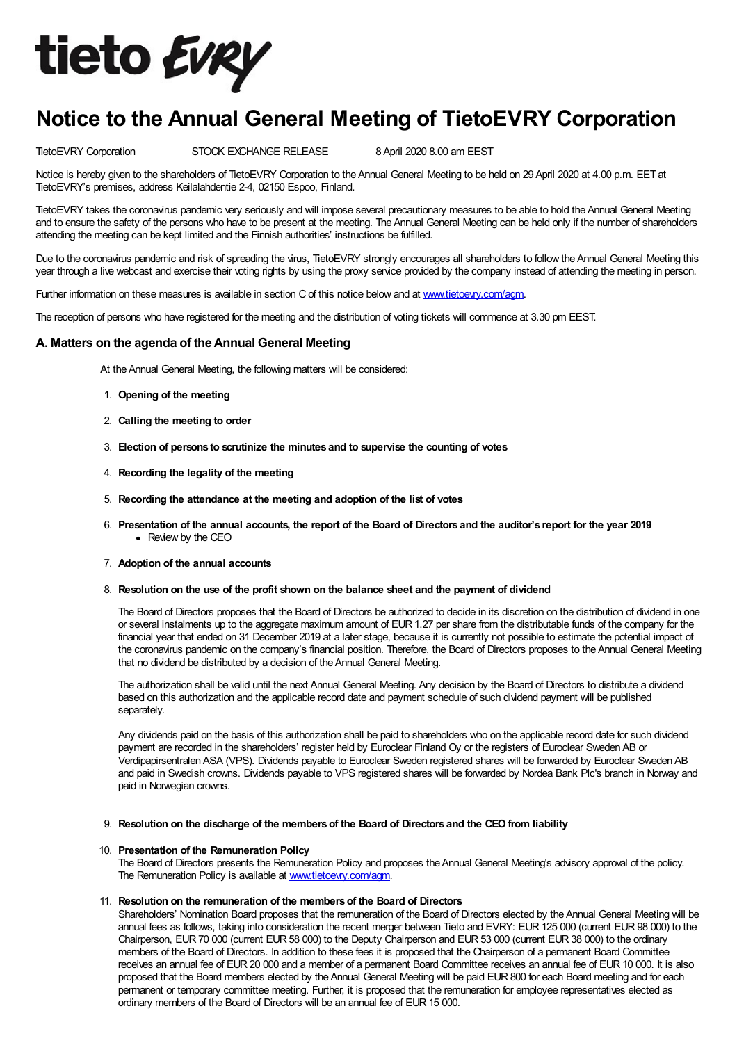

# Notice to the Annual General Meeting of TietoEVRY Corporation

TietoEVRY Corporation STOCK EXCHANGE RELEASE 8April 2020 8.00 am EEST

Notice is hereby given to the shareholders of TietoEVRY Corporation to the Annual General Meeting to be held on 29 April 2020 at 4.00 p.m. EET at TietoEVRY's premises, address Keilalahdentie 2-4, 02150 Espoo, Finland.

TietoEVRY takes the coronavirus pandemic very seriously and will impose several precautionary measures to be able to hold theAnnual General Meeting and to ensure the safety of the persons who have to be present at the meeting. The Annual General Meeting can be held only if the number of shareholders attending the meeting can be kept limited and the Finnish authorities' instructions be fulfilled.

Due to the coronavirus pandemic and risk of spreading the virus, TietoEVRY strongly encourages all shareholders to follow the Annual General Meeting this year through a live webcast and exercise their voting rights by using the proxy service provided by the company instead of attending the meeting in person.

Further information on these measures is available in section C of this notice below and at www.tietoevry.com/agm.

The reception of persons who have registered for the meeting and the distribution of voting tickets will commence at 3.30 pm EEST.

# A. Matters on the agenda of the Annual General Meeting

At the Annual General Meeting, the following matters will be considered:

- 1. Opening of the meeting
- 2. Calling the meeting to order
- 3. Election of persons to scrutinize the minutes and to supervise the counting of votes
- 4. Recording the legality of the meeting
- 5. Recording the attendance at the meeting and adoption of the list of votes
- 6. Presentation of the annual accounts, the report of the Board of Directors and the auditor's report for the year 2019 • Review by the CEO
- 7. Adoption of the annual accounts
- 8. Resolution on the use of the profit shown on the balance sheet and the payment of dividend

The Board of Directors proposes that the Board of Directors be authorized to decide in its discretion on the distribution of dividend in one or several instalments up to the aggregate maximum amount of EUR1.27 per share from the distributable funds of the company for the financial year that ended on 31 December 2019 at a later stage, because it is currently not possible to estimate the potential impact of the coronavirus pandemic on the company's financial position. Therefore, the Board of Directors proposes to theAnnual General Meeting that no dividend be distributed by a decision of the Annual General Meeting.

The authorization shall be valid until the next Annual General Meeting. Any decision by the Board of Directors to distribute a dividend based on this authorization and the applicable record date and payment schedule of such dividend payment will be published separately.

Any dividends paid on the basis of this authorization shall be paid to shareholders who on the applicable record date for such dividend payment are recorded in the shareholders' register held by Euroclear Finland Oy or the registers of Euroclear SwedenAB or Verdipapirsentralen ASA (VPS). Dividends payable to Euroclear Sweden registered shares will be forwarded by Euroclear Sweden AB and paid in Swedish crowns. Dividends payable to VPS registered shares will be forwarded by Nordea Bank Plc's branch in Norway and paid in Norwegian crowns.

9. Resolution on the discharge of the members of the Board of Directors and the CEO from liability

## 10. Presentation of the Remuneration Policy

The Board of Directors presents the Remuneration Policy and proposes the Annual General Meeting's advisory approval of the policy. The Remuneration Policy is available at www.tietoevry.com/agm.

# 11. Resolution on the remuneration of the members of the Board of Directors

Shareholders' Nomination Board proposes that the remuneration of the Board of Directors elected by the Annual General Meeting will be annual fees as follows, taking into consideration the recent merger between Tieto and EVRY: EUR 125 000 (current EUR 98 000) to the Chairperson, EUR70 000 (current EUR58 000) to the Deputy Chairperson and EUR53 000 (current EUR38 000) to the ordinary members of the Board of Directors. In addition to these fees it is proposed that the Chairperson of a permanent Board Committee receives an annual fee of EUR 20 000 and a member of a permanent Board Committee receives an annual fee of EUR 10 000. It is also proposed that the Board members elected by the Annual General Meeting will be paid EUR 800 for each Board meeting and for each permanent or temporary committee meeting. Further, it is proposed that the remuneration for employee representatives elected as ordinary members of the Board of Directors will be an annual fee of EUR15 000.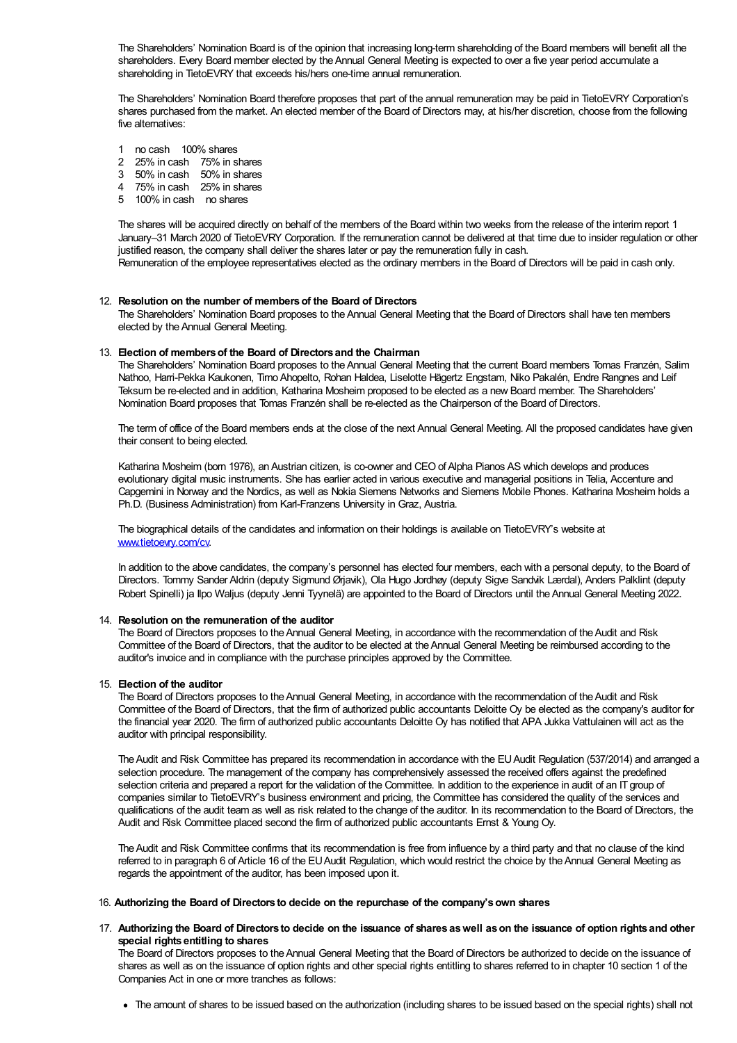The Shareholders' Nomination Board is of the opinion that increasing long-term shareholding of the Board members will benefit all the shareholders. Every Board member elected by theAnnual General Meeting is expected to over a five year period accumulate a shareholding in TietoEVRY that exceeds his/hers one-time annual remuneration.

The Shareholders' Nomination Board therefore proposes that part of the annual remuneration may be paid in TietoEVRY Corporation's shares purchased from the market. An elected member of the Board of Directors may, at his/her discretion, choose from the following five alternatives:

- 1 no cash 100% shares
- 2 25% in cash 75% in shares
- 3 50% in cash 50% in shares
- 4 75% in cash 25% in shares
- 5 100% in cash no shares

The shares will be acquired directly on behalf of the members of the Board within two weeks from the release of the interim report 1 January–31 March 2020 of TietoEVRY Corporation. If the remuneration cannot be delivered at that time due to insider regulation or other justified reason, the company shall deliver the shares later or pay the remuneration fully in cash. Remuneration of the employee representatives elected as the ordinary members in the Board of Directors will be paid in cash only.

#### 12. Resolution on the number of members of the Board of Directors

The Shareholders' Nomination Board proposes to the Annual General Meeting that the Board of Directors shall have ten members elected by the Annual General Meeting.

#### 13. Election of members of the Board of Directors and the Chairman

The Shareholders' Nomination Board proposes to the Annual General Meeting that the current Board members Tomas Franzén, Salim Nathoo, Harri-Pekka Kaukonen, Timo Ahopelto, Rohan Haldea, Liselotte Hägertz Engstam, Niko Pakalén, Endre Rangnes and Leif Teksum be re-elected and in addition, Katharina Mosheim proposed to be elected as a new Board member. The Shareholders' Nomination Board proposes that Tomas Franzén shall be re-elected as the Chairperson of the Board of Directors.

The term of office of the Board members ends at the close of the next Annual General Meeting. All the proposed candidates have given their consent to being elected.

Katharina Mosheim (born 1976), an Austrian citizen, is co-owner and CEO of Alpha Pianos AS which develops and produces evolutionary digital music instruments. She has earlier acted in various executive and managerial positions in Telia, Accenture and Capgemini in Norway and the Nordics, as well as Nokia Siemens Networks and Siemens Mobile Phones. Katharina Mosheim holds a Ph.D. (Business Administration) from Karl-Franzens University in Graz, Austria.

The biographical details of the candidates and information on their holdings is available on TietoEVRY's website at www.tietoevry.com/cv.

In addition to the above candidates, the company's personnel has elected four members, each with a personal deputy, to the Board of Directors. Tommy Sander Aldrin (deputy Sigmund Ørjavik), Ola Hugo Jordhøy (deputy Sigve Sandvik Lærdal), Anders Palklint (deputy Robert Spinelli) ja Ilpo Waljus (deputy Jenni Tyynelä) are appointed to the Board of Directors until theAnnual General Meeting 2022.

#### 14. Resolution on the remuneration of the auditor

The Board of Directors proposes to the Annual General Meeting, in accordance with the recommendation of the Audit and Risk Committee of the Board of Directors, that the auditor to be elected at the Annual General Meeting be reimbursed according to the auditor's invoice and in compliance with the purchase principles approved by the Committee.

## 15. Election of the auditor

The Board of Directors proposes to the Annual General Meeting, in accordance with the recommendation of the Audit and Risk Committee of the Board of Directors, that the firm of authorized public accountants Deloitte Oy be elected as the company's auditor for the financial year 2020. The firm of authorized public accountants Deloitte Oy has notified that APA Jukka Vattulainen will act as the auditor with principal responsibility.

The Audit and Risk Committee has prepared its recommendation in accordance with the EU Audit Regulation (537/2014) and arranged a selection procedure. The management of the company has comprehensively assessed the received offers against the predefined selection criteria and prepared a report for the validation of the Committee. In addition to the experience in audit of an ITgroup of companies similar to TietoEVRY's business environment and pricing, the Committee has considered the quality of the services and qualifications of the audit team as well as risk related to the change of the auditor. In its recommendation to the Board of Directors, the Audit and Risk Committee placed second the firm of authorized public accountants Ernst & Young Oy.

TheAudit and Risk Committee confirms that its recommendation is free from influence by a third party and that no clause of the kind referred to in paragraph 6 of Article 16 of the EU Audit Regulation, which would restrict the choice by the Annual General Meeting as regards the appointment of the auditor, has been imposed upon it.

#### 16. Authorizing the Board of Directors to decide on the repurchase of the company'sown shares

# 17. Authorizing the Board of Directors to decide on the issuance of shares aswell ason the issuance of option rights and other special rights entitling to shares

The Board of Directors proposes to the Annual General Meeting that the Board of Directors be authorized to decide on the issuance of shares as well as on the issuance of option rights and other special rights entitling to shares referred to in chapter 10 section 1 of the Companies Act in one or more tranches as follows:

The amount of shares to be issued based on the authorization (including shares to be issued based on the special rights) shall not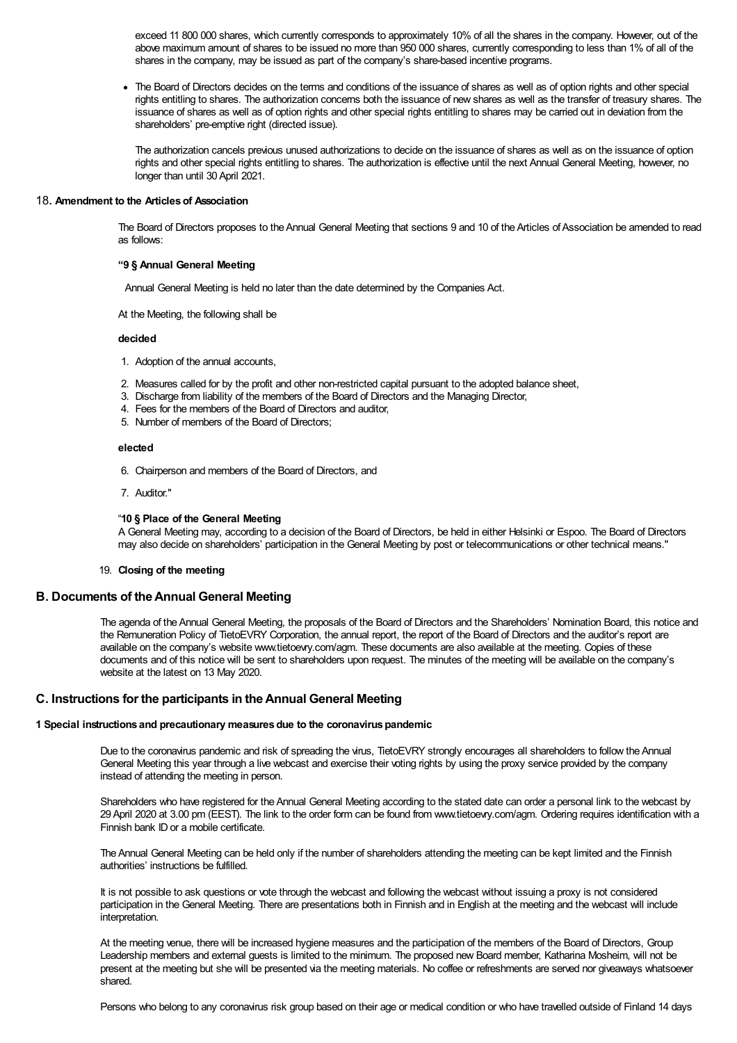exceed 11 800 000 shares, which currently corresponds to approximately 10% of all the shares in the company. However, out of the above maximum amount of shares to be issued no more than 950 000 shares, currently corresponding to less than 1% of all of the shares in the company, may be issued as part of the company's share-based incentive programs.

The Board of Directors decides on the terms and conditions of the issuance of shares as well as of option rights and other special rights entitling to shares. The authorization concerns both the issuance of new shares as well as the transfer of treasury shares. The issuance of shares as well as of option rights and other special rights entitling to shares may be carried out in deviation from the shareholders' pre-emptive right (directed issue).

The authorization cancels previous unused authorizations to decide on the issuance of shares as well as on the issuance of option rights and other special rights entitling to shares. The authorization is effective until the next Annual General Meeting, however, no longer than until 30April 2021.

## 18. Amendment to the Articles of Association

The Board of Directors proposes to the Annual General Meeting that sections 9 and 10 of the Articles of Association be amended to read as follows:

# "9 § Annual General Meeting

Annual General Meeting is held no later than the date determined by the Companies Act.

At the Meeting, the following shall be

#### decided

- 1. Adoption of the annual accounts,
- 2. Measures called for by the profit and other non-restricted capital pursuant to the adopted balance sheet,
- 3. Discharge from liability of the members of the Board of Directors and the Managing Director,
- 4. Fees for the members of the Board of Directors and auditor,
- 5. Number of members of the Board of Directors;

#### elected

- 6. Chairperson and members of the Board of Directors, and
- 7. Auditor."

#### "10 § Place of the General Meeting

A General Meeting may, according to a decision of the Board of Directors, be held in either Helsinki or Espoo. The Board of Directors may also decide on shareholders' participation in the General Meeting by post or telecommunications or other technical means."

# 19. Closing of the meeting

## B. Documents of theAnnual General Meeting

The agenda of theAnnual General Meeting, the proposals of the Board of Directors and the Shareholders' Nomination Board, this notice and the Remuneration Policy of TietoEVRY Corporation, the annual report, the report of the Board of Directors and the auditor's report are available on the company's website www.tietoevry.com/agm. These documents are also available at the meeting. Copies of these documents and of this notice will be sent to shareholders upon request. The minutes of the meeting will be available on the company's website at the latest on 13 May 2020.

# C. Instructions for the participants in theAnnual General Meeting

### 1 Special instructions and precautionary measuresdue to the coronaviruspandemic

Due to the coronavirus pandemic and risk of spreading the virus, TietoEVRY strongly encourages all shareholders to follow theAnnual General Meeting this year through a live webcast and exercise their voting rights by using the proxy service provided by the company instead of attending the meeting in person.

Shareholders who have registered for theAnnual General Meeting according to the stated date can order a personal link to the webcast by 29April 2020 at 3.00 pm (EEST). The link to the order form can be found from www.tietoevry.com/agm. Ordering requires identification with a Finnish bank ID or a mobile certificate.

The Annual General Meeting can be held only if the number of shareholders attending the meeting can be kept limited and the Finnish authorities' instructions be fulfilled.

It is not possible to ask questions or vote through the webcast and following the webcast without issuing a proxy is not considered participation in the General Meeting. There are presentations both in Finnish and in English at the meeting and the webcast will include interpretation.

At the meeting venue, there will be increased hygiene measures and the participation of the members of the Board of Directors, Group Leadership members and external guests is limited to the minimum. The proposed new Board member, Katharina Mosheim, will not be present at the meeting but she will be presented via the meeting materials. No coffee or refreshments are served nor giveaways whatsoever shared.

Persons who belong to any coronavirus risk group based on their age or medical condition or who have travelled outside of Finland 14 days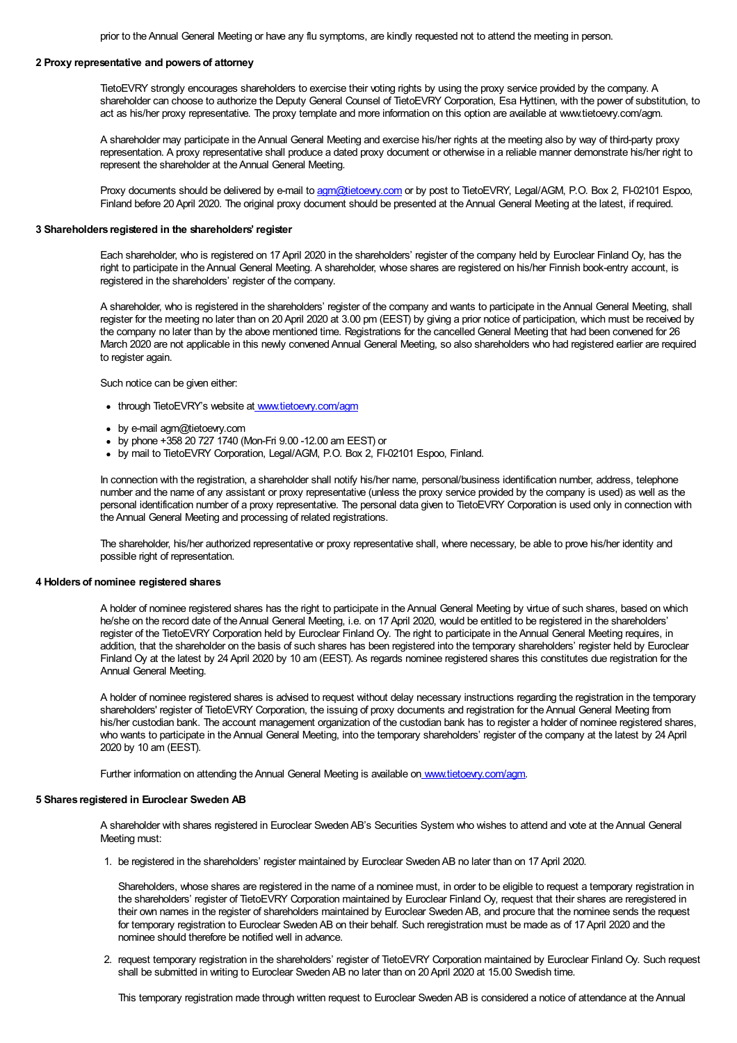prior to the Annual General Meeting or have any flu symptoms, are kindly requested not to attend the meeting in person.

# 2 Proxy representative and powers of attorney

TietoEVRY strongly encourages shareholders to exercise their voting rights by using the proxy service provided by the company. A shareholder can choose to authorize the Deputy General Counsel of TietoEVRY Corporation, Esa Hyttinen, with the power of substitution, to act as his/her proxy representative. The proxy template and more information on this option are available at www.tietoevry.com/agm.

A shareholder may participate in theAnnual General Meeting and exercise his/her rights at the meeting also by way of third-party proxy representation. A proxy representative shall produce a dated proxy document or otherwise in a reliable manner demonstrate his/her right to represent the shareholder at the Annual General Meeting.

Proxy documents should be delivered by e-mail to agm@tietoevry.com or by post to TietoEVRY, Legal/AGM, P.O. Box 2, FI-02101 Espoo, Finland before 20 April 2020. The original proxy document should be presented at the Annual General Meeting at the latest, if required.

## 3 Shareholders registered in the shareholders' register

Each shareholder, who is registered on 17April 2020 in the shareholders' register of the company held by Euroclear Finland Oy, has the right to participate in theAnnual General Meeting. A shareholder, whose shares are registered on his/her Finnish book-entry account, is registered in the shareholders' register of the company.

A shareholder, who is registered in the shareholders' register of the company and wants to participate in theAnnual General Meeting, shall register for the meeting no later than on 20April 2020 at 3.00 pm (EEST) by giving a prior notice of participation, which must be received by the company no later than by the above mentioned time. Registrations for the cancelled General Meeting that had been convened for 26 March 2020 are not applicable in this newly convened Annual General Meeting, so also shareholders who had registered earlier are required to register again.

Such notice can be given either:

- through TietoEVRY's website at www.tietoevry.com/agm
- by e-mail agm@tietoevry.com
- by phone +358 20 727 1740 (Mon-Fri 9.00 -12.00 am EEST) or
- by mail to TietoEVRY Corporation, Legal/AGM, P.O. Box 2, FI-02101 Espoo, Finland.

In connection with the registration, a shareholder shall notify his/her name, personal/business identification number, address, telephone number and the name of any assistant or proxy representative (unless the proxy service provided by the company is used) as well as the personal identification number of a proxy representative. The personal data given to TietoEVRY Corporation is used only in connection with the Annual General Meeting and processing of related registrations.

The shareholder, his/her authorized representative or proxy representative shall, where necessary, be able to prove his/her identity and possible right of representation.

#### 4 Holders of nominee registered shares

A holder of nominee registered shares has the right to participate in the Annual General Meeting by virtue of such shares, based on which he/she on the record date of theAnnual General Meeting, i.e. on 17April 2020, would be entitled to be registered in the shareholders' register of the TietoEVRY Corporation held by Euroclear Finland Oy. The right to participate in theAnnual General Meeting requires, in addition, that the shareholder on the basis of such shares has been registered into the temporary shareholders' register held by Euroclear Finland Oy at the latest by 24April 2020 by 10 am (EEST). As regards nominee registered shares this constitutes due registration for the Annual General Meeting.

A holder of nominee registered shares is advised to request without delay necessary instructions regarding the registration in the temporary shareholders' register of TietoEVRY Corporation, the issuing of proxy documents and registration for the Annual General Meeting from his/her custodian bank. The account management organization of the custodian bank has to register a holder of nominee registered shares, who wants to participate in theAnnual General Meeting, into the temporary shareholders' register of the company at the latest by 24April 2020 by 10 am (EEST).

Further information on attending the Annual General Meeting is available on www.tietoevry.com/agm.

## 5 Shares registered in Euroclear Sweden AB

A shareholder with shares registered in Euroclear SwedenAB's Securities System who wishes to attend and vote at theAnnual General Meeting must:

1. be registered in the shareholders' register maintained by Euroclear SwedenAB no later than on 17April 2020.

Shareholders, whose shares are registered in the name of a nominee must, in order to be eligible to request a temporary registration in the shareholders' register of TietoEVRY Corporation maintained by Euroclear Finland Oy, request that their shares are reregistered in their own names in the register of shareholders maintained by Euroclear Sweden AB, and procure that the nominee sends the request for temporary registration to Euroclear Sweden AB on their behalf. Such reregistration must be made as of 17 April 2020 and the nominee should therefore be notified well in advance.

2. request temporary registration in the shareholders' register of TietoEVRY Corporation maintained by Euroclear Finland Oy. Such request shall be submitted in writing to Euroclear Sweden AB no later than on 20 April 2020 at 15.00 Swedish time.

This temporary registration made through written request to Euroclear Sweden AB is considered a notice of attendance at the Annual